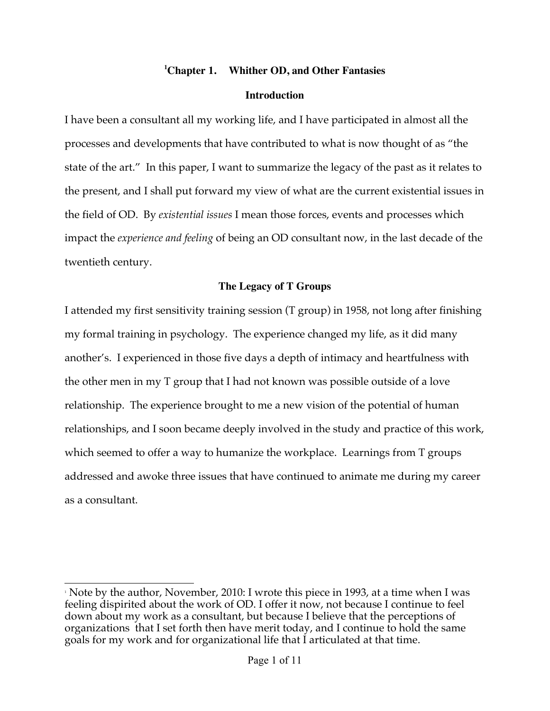## **1 Chapter 1. Whither OD, and Other Fantasies**

## **Introduction**

I have been a consultant all my working life, and I have participated in almost all the processes and developments that have contributed to what is now thought of as "the state of the art." In this paper, I want to summarize the legacy of the past as it relates to the present, and I shall put forward my view of what are the current existential issues in the field of OD. By *existential issues* I mean those forces, events and processes which impact the *experience and feeling* of being an OD consultant now, in the last decade of the twentieth century.

## **The Legacy of T Groups**

I attended my first sensitivity training session (T group) in 1958, not long after finishing my formal training in psychology. The experience changed my life, as it did many another's. I experienced in those five days a depth of intimacy and heartfulness with the other men in my T group that I had not known was possible outside of a love relationship. The experience brought to me a new vision of the potential of human relationships, and I soon became deeply involved in the study and practice of this work, which seemed to offer a way to humanize the workplace. Learnings from T groups addressed and awoke three issues that have continued to animate me during my career as a consultant.

<sup>&</sup>lt;sup>1</sup> Note by the author, November, 2010: I wrote this piece in 1993, at a time when I was feeling dispirited about the work of OD. I offer it now, not because I continue to feel down about my work as a consultant, but because I believe that the perceptions of organizations that I set forth then have merit today, and I continue to hold the same goals for my work and for organizational life that I articulated at that time.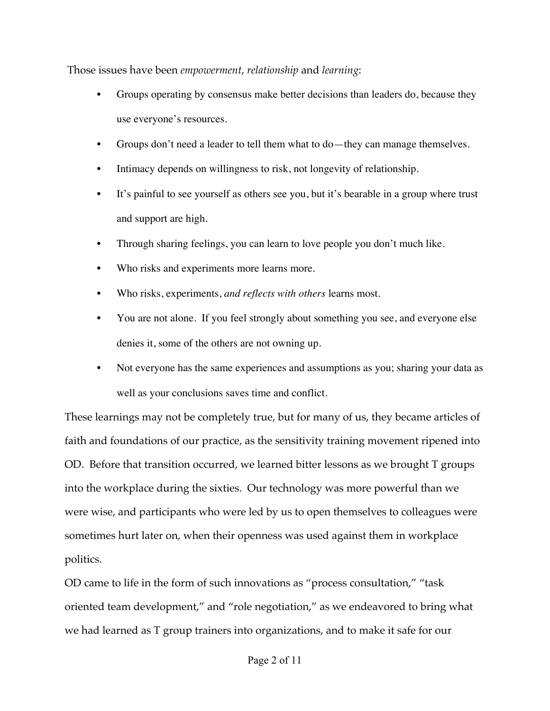Those issues have been *empowerment*, *relationship* and *learning*:

- Groups operating by consensus make better decisions than leaders do, because they use everyone's resources.
- Groups don't need a leader to tell them what to do—they can manage themselves.
- Intimacy depends on willingness to risk, not longevity of relationship.
- It's painful to see yourself as others see you, but it's bearable in a group where trust and support are high.
- Through sharing feelings, you can learn to love people you don't much like.
- Who risks and experiments more learns more.
- Who risks, experiments, *and reflects with others* learns most.
- You are not alone. If you feel strongly about something you see, and everyone else denies it, some of the others are not owning up.
- Not everyone has the same experiences and assumptions as you; sharing your data as well as your conclusions saves time and conflict.

These learnings may not be completely true, but for many of us, they became articles of faith and foundations of our practice, as the sensitivity training movement ripened into OD. Before that transition occurred, we learned bitter lessons as we brought T groups into the workplace during the sixties. Our technology was more powerful than we were wise, and participants who were led by us to open themselves to colleagues were sometimes hurt later on, when their openness was used against them in workplace politics.

OD came to life in the form of such innovations as "process consultation," "task oriented team development," and "role negotiation," as we endeavored to bring what we had learned as T group trainers into organizations, and to make it safe for our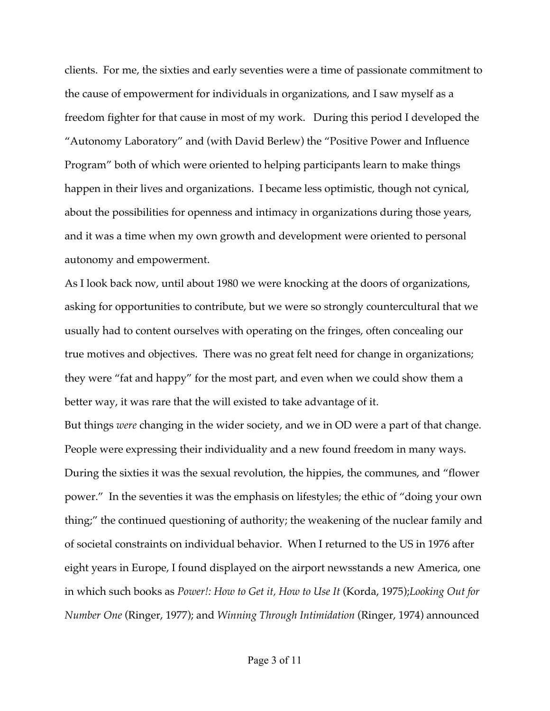clients. For me, the sixties and early seventies were a time of passionate commitment to the cause of empowerment for individuals in organizations, and I saw myself as a freedom fighter for that cause in most of my work. During this period I developed the "Autonomy Laboratory" and (with David Berlew) the "Positive Power and Influence Program" both of which were oriented to helping participants learn to make things happen in their lives and organizations. I became less optimistic, though not cynical, about the possibilities for openness and intimacy in organizations during those years, and it was a time when my own growth and development were oriented to personal autonomy and empowerment.

As I look back now, until about 1980 we were knocking at the doors of organizations, asking for opportunities to contribute, but we were so strongly countercultural that we usually had to content ourselves with operating on the fringes, often concealing our true motives and objectives. There was no great felt need for change in organizations; they were "fat and happy" for the most part, and even when we could show them a better way, it was rare that the will existed to take advantage of it.

But things *were* changing in the wider society, and we in OD were a part of that change. People were expressing their individuality and a new found freedom in many ways. During the sixties it was the sexual revolution, the hippies, the communes, and "flower power." In the seventies it was the emphasis on lifestyles; the ethic of "doing your own thing;" the continued questioning of authority; the weakening of the nuclear family and of societal constraints on individual behavior. When I returned to the US in 1976 after eight years in Europe, I found displayed on the airport newsstands a new America, one in which such books as *Power!: How to Get it, How to Use It* (Korda, 1975);*Looking Out for Number One* (Ringer, 1977); and *Winning Through Intimidation* (Ringer, 1974) announced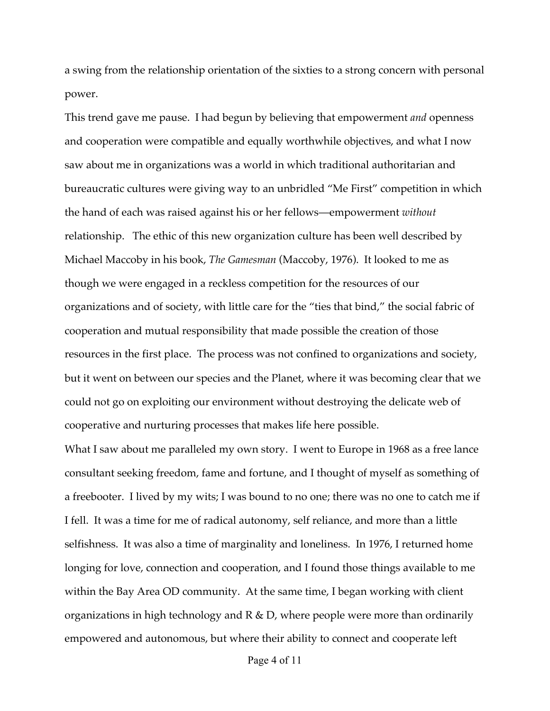a swing from the relationship orientation of the sixties to a strong concern with personal power.

This trend gave me pause. I had begun by believing that empowerment *and* openness and cooperation were compatible and equally worthwhile objectives, and what I now saw about me in organizations was a world in which traditional authoritarian and bureaucratic cultures were giving way to an unbridled "Me First" competition in which the hand of each was raised against his or her fellows—empowerment *without* relationship. The ethic of this new organization culture has been well described by Michael Maccoby in his book, *The Gamesman* (Maccoby, 1976).It looked to me as though we were engaged in a reckless competition for the resources of our organizations and of society, with little care for the "ties that bind," the social fabric of cooperation and mutual responsibility that made possible the creation of those resources in the first place. The process was not confined to organizations and society, but it went on between our species and the Planet, where it was becoming clear that we could not go on exploiting our environment without destroying the delicate web of cooperative and nurturing processes that makes life here possible.

What I saw about me paralleled my own story. I went to Europe in 1968 as a free lance consultant seeking freedom, fame and fortune, and I thought of myself as something of a freebooter. I lived by my wits; I was bound to no one; there was no one to catch me if I fell. It was a time for me of radical autonomy, self reliance, and more than a little selfishness. It was also a time of marginality and loneliness. In 1976, I returned home longing for love, connection and cooperation, and I found those things available to me within the Bay Area OD community. At the same time, I began working with client organizations in high technology and  $R \& D$ , where people were more than ordinarily empowered and autonomous, but where their ability to connect and cooperate left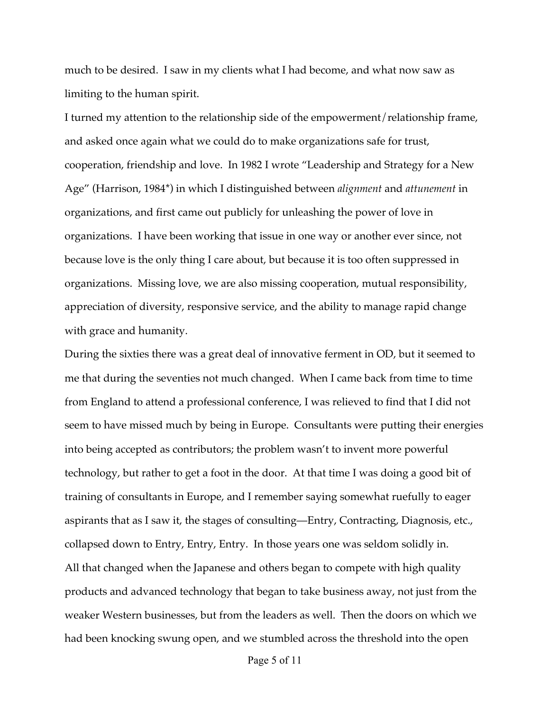much to be desired. I saw in my clients what I had become, and what now saw as limiting to the human spirit.

I turned my attention to the relationship side of the empowerment/relationship frame, and asked once again what we could do to make organizations safe for trust, cooperation, friendship and love. In 1982 I wrote "Leadership and Strategy for a New Age" (Harrison, 1984\*) in which I distinguished between *alignment* and *attunement* in organizations, and first came out publicly for unleashing the power of love in organizations. I have been working that issue in one way or another ever since, not because love is the only thing I care about, but because it is too often suppressed in organizations. Missing love, we are also missing cooperation, mutual responsibility, appreciation of diversity, responsive service, and the ability to manage rapid change with grace and humanity.

During the sixties there was a great deal of innovative ferment in OD, but it seemed to me that during the seventies not much changed. When I came back from time to time from England to attend a professional conference, I was relieved to find that I did not seem to have missed much by being in Europe. Consultants were putting their energies into being accepted as contributors; the problem wasn't to invent more powerful technology, but rather to get a foot in the door. At that time I was doing a good bit of training of consultants in Europe, and I remember saying somewhat ruefully to eager aspirants that as I saw it, the stages of consulting—Entry, Contracting, Diagnosis, etc., collapsed down to Entry, Entry, Entry. In those years one was seldom solidly in. All that changed when the Japanese and others began to compete with high quality products and advanced technology that began to take business away, not just from the weaker Western businesses, but from the leaders as well. Then the doors on which we had been knocking swung open, and we stumbled across the threshold into the open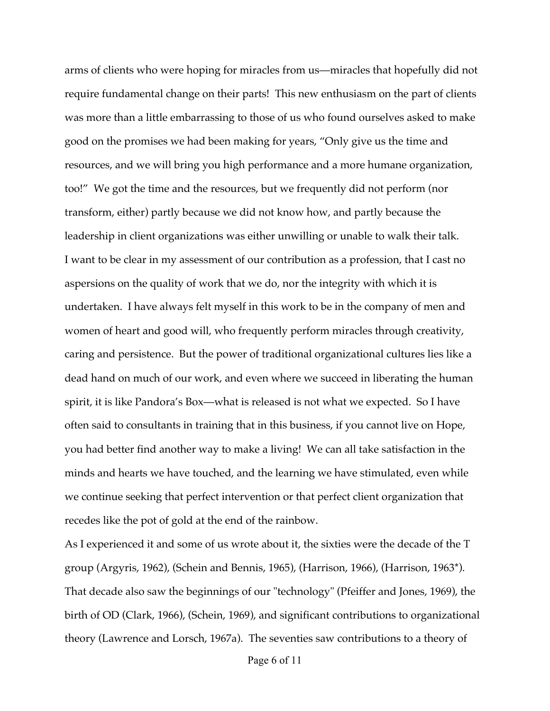arms of clients who were hoping for miracles from us—miracles that hopefully did not require fundamental change on their parts! This new enthusiasm on the part of clients was more than a little embarrassing to those of us who found ourselves asked to make good on the promises we had been making for years, "Only give us the time and resources, and we will bring you high performance and a more humane organization, too!" We got the time and the resources, but we frequently did not perform (nor transform, either) partly because we did not know how, and partly because the leadership in client organizations was either unwilling or unable to walk their talk. I want to be clear in my assessment of our contribution as a profession, that I cast no aspersions on the quality of work that we do, nor the integrity with which it is undertaken. I have always felt myself in this work to be in the company of men and women of heart and good will, who frequently perform miracles through creativity, caring and persistence. But the power of traditional organizational cultures lies like a dead hand on much of our work, and even where we succeed in liberating the human spirit, it is like Pandora's Box—what is released is not what we expected. So I have often said to consultants in training that in this business, if you cannot live on Hope, you had better find another way to make a living! We can all take satisfaction in the minds and hearts we have touched, and the learning we have stimulated, even while we continue seeking that perfect intervention or that perfect client organization that recedes like the pot of gold at the end of the rainbow.

As I experienced it and some of us wrote about it, the sixties were the decade of the T group (Argyris, 1962), (Schein and Bennis, 1965), (Harrison, 1966), (Harrison, 1963\*). That decade also saw the beginnings of our "technology" (Pfeiffer and Jones, 1969), the birth of OD (Clark, 1966), (Schein, 1969), and significant contributions to organizational theory (Lawrence and Lorsch, 1967a). The seventies saw contributions to a theory of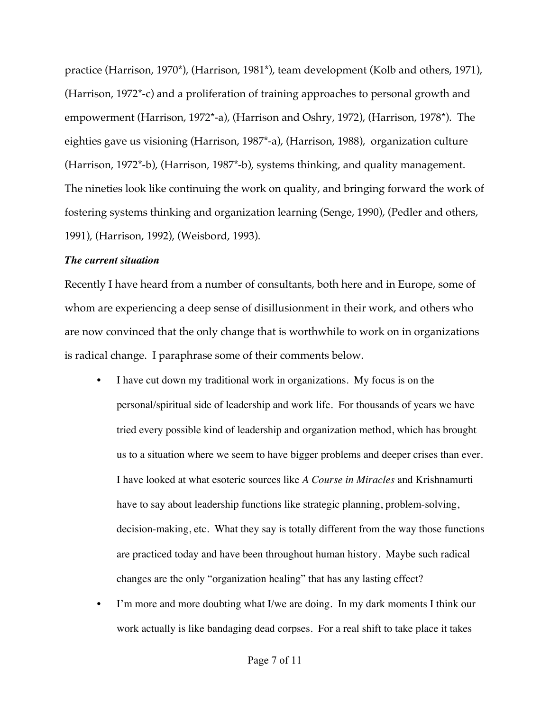practice (Harrison, 1970\*), (Harrison, 1981\*), team development (Kolb and others, 1971), (Harrison, 1972\*-c) and a proliferation of training approaches to personal growth and empowerment (Harrison, 1972\*-a), (Harrison and Oshry, 1972), (Harrison, 1978\*). The eighties gave us visioning (Harrison, 1987\*-a), (Harrison, 1988), organization culture (Harrison, 1972\*-b), (Harrison, 1987\*-b), systems thinking, and quality management. The nineties look like continuing the work on quality, and bringing forward the work of fostering systems thinking and organization learning (Senge, 1990), (Pedler and others, 1991), (Harrison, 1992), (Weisbord, 1993).

## *The current situation*

Recently I have heard from a number of consultants, both here and in Europe, some of whom are experiencing a deep sense of disillusionment in their work, and others who are now convinced that the only change that is worthwhile to work on in organizations is radical change. I paraphrase some of their comments below.

- I have cut down my traditional work in organizations. My focus is on the personal/spiritual side of leadership and work life. For thousands of years we have tried every possible kind of leadership and organization method, which has brought us to a situation where we seem to have bigger problems and deeper crises than ever. I have looked at what esoteric sources like *A Course in Miracles* and Krishnamurti have to say about leadership functions like strategic planning, problem-solving, decision-making, etc. What they say is totally different from the way those functions are practiced today and have been throughout human history. Maybe such radical changes are the only "organization healing" that has any lasting effect?
- I'm more and more doubting what I/we are doing. In my dark moments I think our work actually is like bandaging dead corpses. For a real shift to take place it takes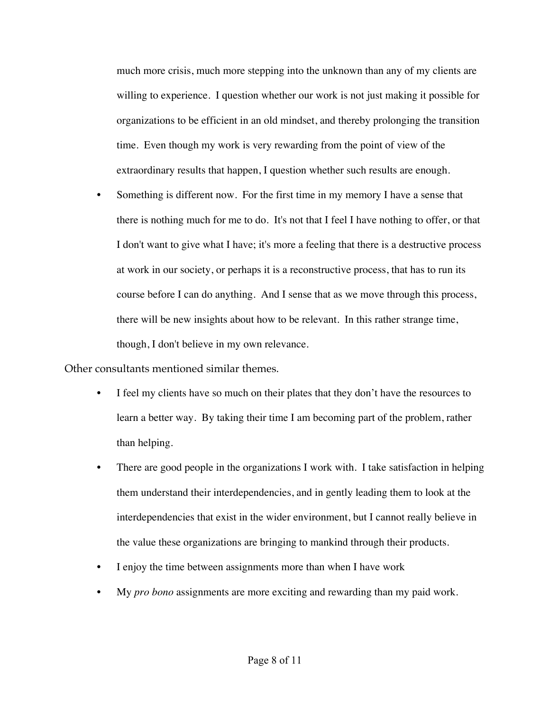much more crisis, much more stepping into the unknown than any of my clients are willing to experience. I question whether our work is not just making it possible for organizations to be efficient in an old mindset, and thereby prolonging the transition time. Even though my work is very rewarding from the point of view of the extraordinary results that happen, I question whether such results are enough.

• Something is different now. For the first time in my memory I have a sense that there is nothing much for me to do. It's not that I feel I have nothing to offer, or that I don't want to give what I have; it's more a feeling that there is a destructive process at work in our society, or perhaps it is a reconstructive process, that has to run its course before I can do anything. And I sense that as we move through this process, there will be new insights about how to be relevant. In this rather strange time, though, I don't believe in my own relevance.

Other consultants mentioned similar themes.

- I feel my clients have so much on their plates that they don't have the resources to learn a better way. By taking their time I am becoming part of the problem, rather than helping.
- There are good people in the organizations I work with. I take satisfaction in helping them understand their interdependencies, and in gently leading them to look at the interdependencies that exist in the wider environment, but I cannot really believe in the value these organizations are bringing to mankind through their products.
- I enjoy the time between assignments more than when I have work
- My *pro bono* assignments are more exciting and rewarding than my paid work.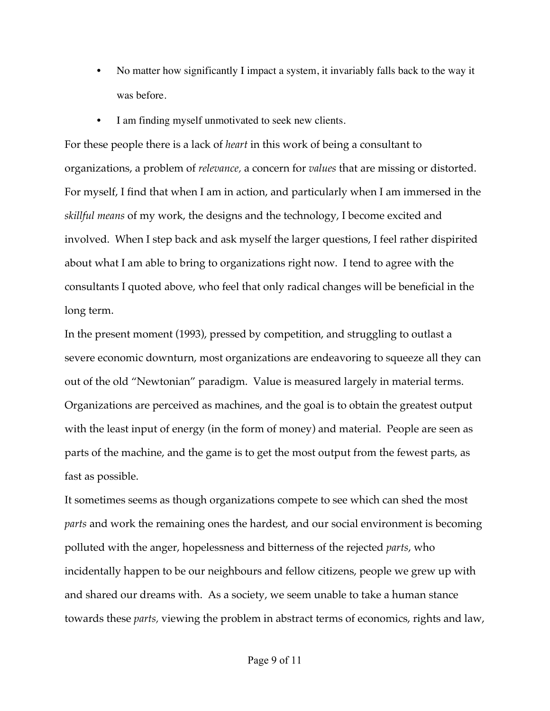- No matter how significantly I impact a system, it invariably falls back to the way it was before.
- I am finding myself unmotivated to seek new clients.

For these people there is a lack of *heart* in this work of being a consultant to organizations, a problem of *relevance,* a concern for *values* that are missing or distorted. For myself, I find that when I am in action, and particularly when I am immersed in the *skillful means* of my work, the designs and the technology, I become excited and involved. When I step back and ask myself the larger questions, I feel rather dispirited about what I am able to bring to organizations right now. I tend to agree with the consultants I quoted above, who feel that only radical changes will be beneficial in the long term.

In the present moment (1993), pressed by competition, and struggling to outlast a severe economic downturn, most organizations are endeavoring to squeeze all they can out of the old "Newtonian" paradigm. Value is measured largely in material terms. Organizations are perceived as machines, and the goal is to obtain the greatest output with the least input of energy (in the form of money) and material. People are seen as parts of the machine, and the game is to get the most output from the fewest parts, as fast as possible.

It sometimes seems as though organizations compete to see which can shed the most *parts* and work the remaining ones the hardest, and our social environment is becoming polluted with the anger, hopelessness and bitterness of the rejected *parts*, who incidentally happen to be our neighbours and fellow citizens, people we grew up with and shared our dreams with. As a society, we seem unable to take a human stance towards these *parts,* viewing the problem in abstract terms of economics, rights and law,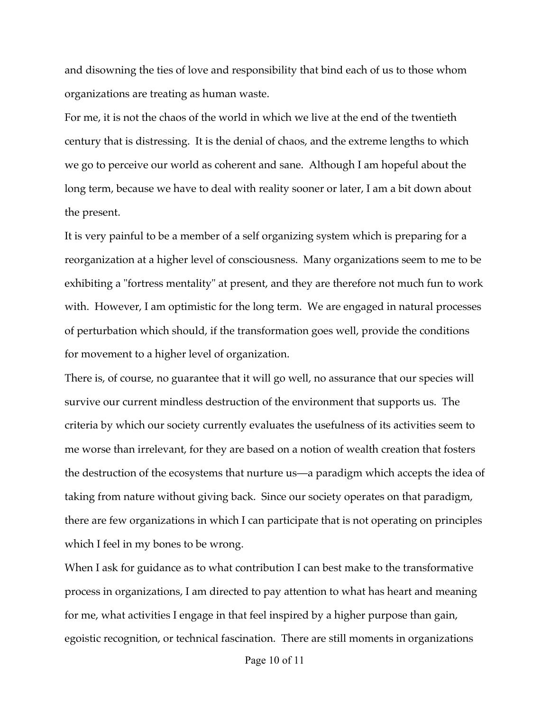and disowning the ties of love and responsibility that bind each of us to those whom organizations are treating as human waste.

For me, it is not the chaos of the world in which we live at the end of the twentieth century that is distressing. It is the denial of chaos, and the extreme lengths to which we go to perceive our world as coherent and sane. Although I am hopeful about the long term, because we have to deal with reality sooner or later, I am a bit down about the present.

It is very painful to be a member of a self organizing system which is preparing for a reorganization at a higher level of consciousness. Many organizations seem to me to be exhibiting a "fortress mentality" at present, and they are therefore not much fun to work with. However, I am optimistic for the long term. We are engaged in natural processes of perturbation which should, if the transformation goes well, provide the conditions for movement to a higher level of organization.

There is, of course, no guarantee that it will go well, no assurance that our species will survive our current mindless destruction of the environment that supports us. The criteria by which our society currently evaluates the usefulness of its activities seem to me worse than irrelevant, for they are based on a notion of wealth creation that fosters the destruction of the ecosystems that nurture us—a paradigm which accepts the idea of taking from nature without giving back. Since our society operates on that paradigm, there are few organizations in which I can participate that is not operating on principles which I feel in my bones to be wrong.

When I ask for guidance as to what contribution I can best make to the transformative process in organizations, I am directed to pay attention to what has heart and meaning for me, what activities I engage in that feel inspired by a higher purpose than gain, egoistic recognition, or technical fascination. There are still moments in organizations